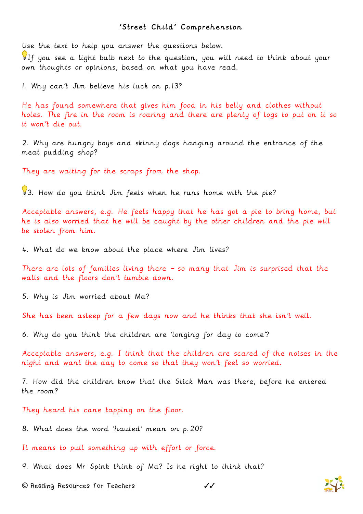## 'Street Child' Comprehension

Use the text to help you answer the questions below.

If you see a light bulb next to the question, you will need to think about your own thoughts or opinions, based on what you have read.

1. Why can't Jim believe his luck on p.13?

He has found somewhere that gives him food in his belly and clothes without holes. The fire in the room is roaring and there are plenty of logs to put on it so it won't die out.

2. Why are hungry boys and skinny dogs hanging around the entrance of the meat pudding shop?

They are waiting for the scraps from the shop.

83. How do you think Jim feels when he runs home with the pie?

Acceptable answers, e.g. He feels happy that he has got a pie to bring home, but he is also worried that he will be caught by the other children and the pie will be stolen from him.

4. What do we know about the place where Jim lives?

There are lots of families living there – so many that Jim is surprised that the walls and the floors don't tumble down.

5. Why is Jim worried about Ma?

She has been asleep for a few days now and he thinks that she isn't well.

6. Why do you think the children are 'longing for day to come'?

Acceptable answers, e.g. I think that the children are scared of the noises in the night and want the day to come so that they won't feel so worried.

7. How did the children know that the Stick Man was there, before he entered the room?

They heard his cane tapping on the floor.

8. What does the word 'hauled' mean on p.20?

It means to pull something up with effort or force.

9. What does Mr Spink think of Ma? Is he right to think that?

**©** Reading Resources for Teachers ✓✓